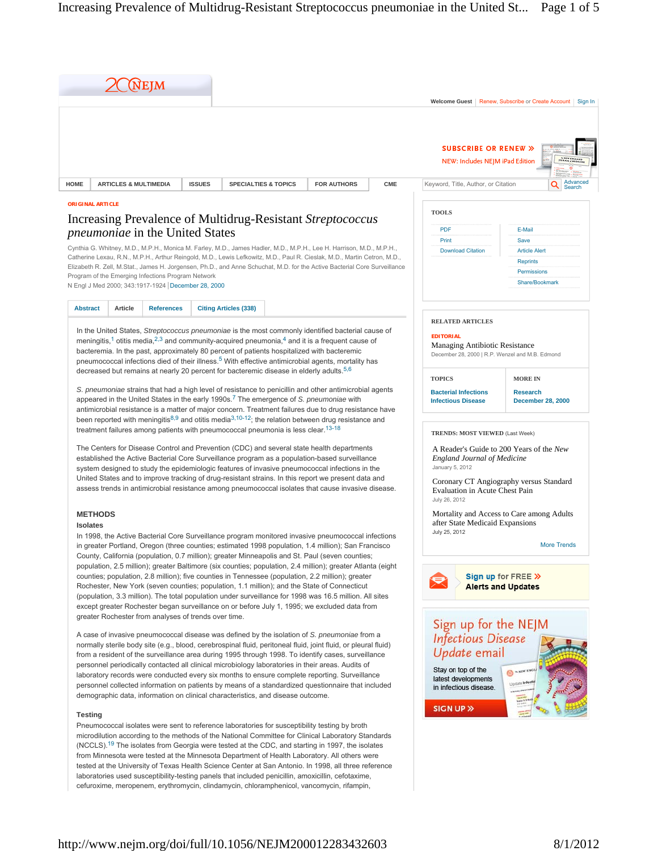|                                                                                                                                 | $\chi$ (Nejm                                                                                                         |                                   |                                 |                    |            |                                                                                                       |  |                                               |                                                                    |
|---------------------------------------------------------------------------------------------------------------------------------|----------------------------------------------------------------------------------------------------------------------|-----------------------------------|---------------------------------|--------------------|------------|-------------------------------------------------------------------------------------------------------|--|-----------------------------------------------|--------------------------------------------------------------------|
|                                                                                                                                 |                                                                                                                      |                                   |                                 |                    |            | Welcome Guest                                                                                         |  | Renew. Subscribe or Create Account<br>Sign In |                                                                    |
| <b>HOME</b>                                                                                                                     | <b>ARTICLES &amp; MULTIMEDIA</b>                                                                                     | <b>ISSUES</b>                     | <b>SPECIALTIES &amp; TOPICS</b> | <b>FOR AUTHORS</b> | <b>CME</b> | <b>SUBSCRIBE OR RENEW »</b><br>NEW: Includes NEJM iPad Edition<br>Keyword, Title, Author, or Citation |  |                                               | A SEW ENGLAND<br><b><i>Parker Librer</i></b><br>Advanced<br>Search |
| <b>ORIGINAL ARTICLE</b><br>Increasing Prevalence of Multidrug-Resistant Streptococcus<br><i>pneumoniae</i> in the United States |                                                                                                                      |                                   |                                 |                    |            | <b>TOOLS</b><br><b>PDF</b><br>E-Mail                                                                  |  |                                               |                                                                    |
|                                                                                                                                 | Cynthia G. Whitney, M.D., M.P.H., Monica M. Farley, M.D., James Hadler, M.D., M.P.H., Lee H. Harrison, M.D., M.P.H., | Print<br><b>Download Citation</b> | Save<br><b>Article Alert</b>    |                    |            |                                                                                                       |  |                                               |                                                                    |
| Catherine Lexau, R.N., M.P.H., Arthur Reingold, M.D., Lewis Lefkowitz, M.D., Paul R. Cieslak, M.D., Martin Cetron, M.D.,        |                                                                                                                      |                                   |                                 |                    |            |                                                                                                       |  | <b>Reprints</b>                               |                                                                    |
| Elizabeth R. Zell, M.Stat., James H. Jorgensen, Ph.D., and Anne Schuchat, M.D. for the Active Bacterial Core Surveillance       |                                                                                                                      |                                   |                                 |                    |            |                                                                                                       |  | Permissions                                   |                                                                    |
| Program of the Emerging Infections Program Network<br>N Engl J Med 2000: 343:1917-1924 December 28, 2000                        |                                                                                                                      |                                   |                                 |                    |            |                                                                                                       |  | Share/Bookmark                                |                                                                    |

**Abstract Article References Citing Articles (338)** 

In the United States, *Streptococcus pneumoniae* is the most commonly identified bacterial cause of meningitis,<sup>1</sup> otitis media,<sup>2,3</sup> and community-acquired pneumonia,<sup>4</sup> and it is a frequent cause of bacteremia. In the past, approximately 80 percent of patients hospitalized with bacteremic pneumococcal infections died of their illness.<sup>5</sup> With effective antimicrobial agents, mortality has decreased but remains at nearly 20 percent for bacteremic disease in elderly adults.<sup>5,6</sup>

*S. pneumoniae* strains that had a high level of resistance to penicillin and other antimicrobial agents appeared in the United States in the early 1990s.<sup>7</sup> The emergence of S. pneumoniae with antimicrobial resistance is a matter of major concern. Treatment failures due to drug resistance have been reported with meningitis<sup>8,9</sup> and otitis media<sup>3,10-12</sup>; the relation between drug resistance and treatment failures among patients with pneumococcal pneumonia is less clear.<sup>13-18</sup>

The Centers for Disease Control and Prevention (CDC) and several state health departments established the Active Bacterial Core Surveillance program as a population-based surveillance system designed to study the epidemiologic features of invasive pneumococcal infections in the United States and to improve tracking of drug-resistant strains. In this report we present data and assess trends in antimicrobial resistance among pneumococcal isolates that cause invasive disease.

# **METHODS**

# **Isolates**

In 1998, the Active Bacterial Core Surveillance program monitored invasive pneumococcal infections in greater Portland, Oregon (three counties; estimated 1998 population, 1.4 million); San Francisco County, California (population, 0.7 million); greater Minneapolis and St. Paul (seven counties; population, 2.5 million); greater Baltimore (six counties; population, 2.4 million); greater Atlanta (eight counties; population, 2.8 million); five counties in Tennessee (population, 2.2 million); greater Rochester, New York (seven counties; population, 1.1 million); and the State of Connecticut (population, 3.3 million). The total population under surveillance for 1998 was 16.5 million. All sites except greater Rochester began surveillance on or before July 1, 1995; we excluded data from greater Rochester from analyses of trends over time.

A case of invasive pneumococcal disease was defined by the isolation of *S. pneumoniae* from a normally sterile body site (e.g., blood, cerebrospinal fluid, peritoneal fluid, joint fluid, or pleural fluid) from a resident of the surveillance area during 1995 through 1998. To identify cases, surveillance personnel periodically contacted all clinical microbiology laboratories in their areas. Audits of laboratory records were conducted every six months to ensure complete reporting. Surveillance personnel collected information on patients by means of a standardized questionnaire that included demographic data, information on clinical characteristics, and disease outcome.

# **Testing**

Pneumococcal isolates were sent to reference laboratories for susceptibility testing by broth microdilution according to the methods of the National Committee for Clinical Laboratory Standards  $(NCCLS).$ <sup>19</sup> The isolates from Georgia were tested at the CDC, and starting in 1997, the isolates from Minnesota were tested at the Minnesota Department of Health Laboratory. All others were tested at the University of Texas Health Science Center at San Antonio. In 1998, all three reference laboratories used susceptibility-testing panels that included penicillin, amoxicillin, cefotaxime, cefuroxime, meropenem, erythromycin, clindamycin, chloramphenicol, vancomycin, rifampin,

**TOPICS Bacterial Infections Infectious Disease MORE IN Research December 28, 2000 TRENDS: MOST VIEWED** (Last Week)

**RELATED ARTICLES**

Managing Antibiotic Resistance December 28, 2000 | R.P. Wenzel and M.B. Edmond

**EDITORIAL**

A Reader's Guide to 200 Years of the *New England Journal of Medicine* January 5, 2012

Coronary CT Angiography versus Standard Evaluation in Acute Chest Pain July 26, 2012

Mortality and Access to Care among Adults after State Medicaid Expansions July 25, 2012

More Trends

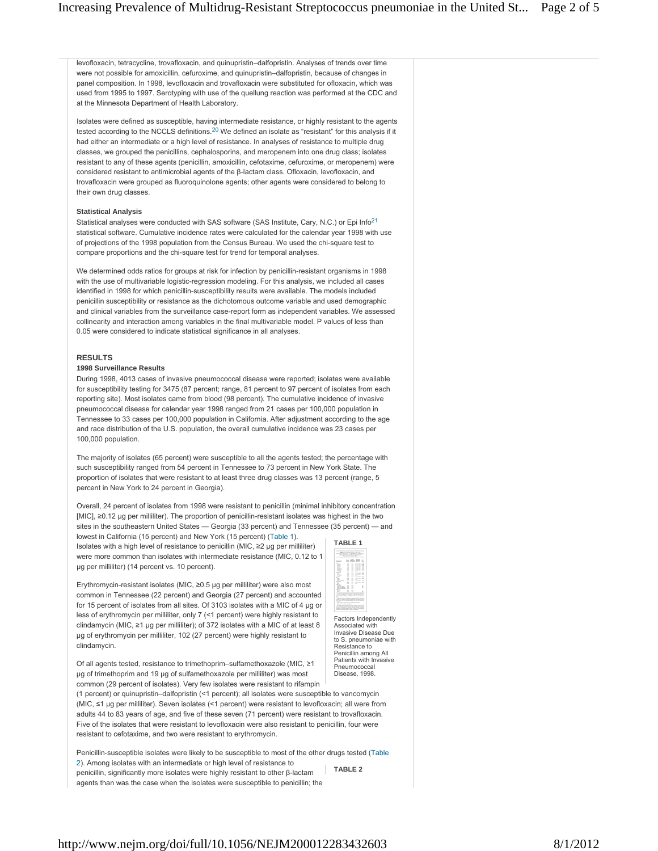levofloxacin, tetracycline, trovafloxacin, and quinupristin–dalfopristin. Analyses of trends over time were not possible for amoxicillin, cefuroxime, and quinupristin–dalfopristin, because of changes in panel composition. In 1998, levofloxacin and trovafloxacin were substituted for ofloxacin, which was used from 1995 to 1997. Serotyping with use of the quellung reaction was performed at the CDC and at the Minnesota Department of Health Laboratory.

Isolates were defined as susceptible, having intermediate resistance, or highly resistant to the agents tested according to the NCCLS definitions.<sup>20</sup> We defined an isolate as "resistant" for this analysis if it had either an intermediate or a high level of resistance. In analyses of resistance to multiple drug classes, we grouped the penicillins, cephalosporins, and meropenem into one drug class; isolates resistant to any of these agents (penicillin, amoxicillin, cefotaxime, cefuroxime, or meropenem) were considered resistant to antimicrobial agents of the β-lactam class. Ofloxacin, levofloxacin, and trovafloxacin were grouped as fluoroquinolone agents; other agents were considered to belong to their own drug classes.

#### **Statistical Analysis**

Statistical analyses were conducted with SAS software (SAS Institute, Cary, N.C.) or Epi Info<sup>21</sup> statistical software. Cumulative incidence rates were calculated for the calendar year 1998 with use of projections of the 1998 population from the Census Bureau. We used the chi-square test to compare proportions and the chi-square test for trend for temporal analyses.

We determined odds ratios for groups at risk for infection by penicillin-resistant organisms in 1998 with the use of multivariable logistic-regression modeling. For this analysis, we included all cases identified in 1998 for which penicillin-susceptibility results were available. The models included penicillin susceptibility or resistance as the dichotomous outcome variable and used demographic and clinical variables from the surveillance case-report form as independent variables. We assessed collinearity and interaction among variables in the final multivariable model. P values of less than 0.05 were considered to indicate statistical significance in all analyses.

#### **RESULTS**

#### **1998 Surveillance Results**

During 1998, 4013 cases of invasive pneumococcal disease were reported; isolates were available for susceptibility testing for 3475 (87 percent; range, 81 percent to 97 percent of isolates from each reporting site). Most isolates came from blood (98 percent). The cumulative incidence of invasive pneumococcal disease for calendar year 1998 ranged from 21 cases per 100,000 population in Tennessee to 33 cases per 100,000 population in California. After adjustment according to the age and race distribution of the U.S. population, the overall cumulative incidence was 23 cases per 100,000 population.

The majority of isolates (65 percent) were susceptible to all the agents tested; the percentage with such susceptibility ranged from 54 percent in Tennessee to 73 percent in New York State. The proportion of isolates that were resistant to at least three drug classes was 13 percent (range, 5 percent in New York to 24 percent in Georgia).

Overall, 24 percent of isolates from 1998 were resistant to penicillin (minimal inhibitory concentration [MIC], ≥0.12 μg per milliliter). The proportion of penicillin-resistant isolates was highest in the two sites in the southeastern United States — Georgia (33 percent) and Tennessee (35 percent) — and

lowest in California (15 percent) and New York (15 percent) (Table 1). Isolates with a high level of resistance to penicillin (MIC, ≥2 μg per milliliter) were more common than isolates with intermediate resistance (MIC, 0.12 to 1 μg per milliliter) (14 percent vs. 10 percent).



Erythromycin-resistant isolates (MIC, ≥0.5 μg per milliliter) were also most common in Tennessee (22 percent) and Georgia (27 percent) and accounted for 15 percent of isolates from all sites. Of 3103 isolates with a MIC of 4 μg or less of erythromycin per milliliter, only 7 (<1 percent) were highly resistant to clindamycin (MIC, ≥1 μg per milliliter); of 372 isolates with a MIC of at least 8 μg of erythromycin per milliliter, 102 (27 percent) were highly resistant to clindamycin.

resistant to cefotaxime, and two were resistant to erythromycin.

Of all agents tested, resistance to trimethoprim–sulfamethoxazole (MIC, ≥1 μg of trimethoprim and 19 μg of sulfamethoxazole per milliliter) was most common (29 percent of isolates). Very few isolates were resistant to rifampin (1 percent) or quinupristin–dalfopristin (<1 percent); all isolates were susceptible to vancomycin (MIC, ≤1 μg per milliliter). Seven isolates (<1 percent) were resistant to levofloxacin; all were from adults 44 to 83 years of age, and five of these seven (71 percent) were resistant to trovafloxacin. Five of the isolates that were resistant to levofloxacin were also resistant to penicillin, four were

**TABLE 2** Penicillin-susceptible isolates were likely to be susceptible to most of the other drugs tested (Table 2). Among isolates with an intermediate or high level of resistance to penicillin, significantly more isolates were highly resistant to other β-lactam agents than was the case when the isolates were susceptible to penicillin; the

Factors Independently Associated with Invasive Disease Due to S. pneumoniae with Resistance to Penicillin among All Patients with Invasive Pneumococcal Disease, 1998.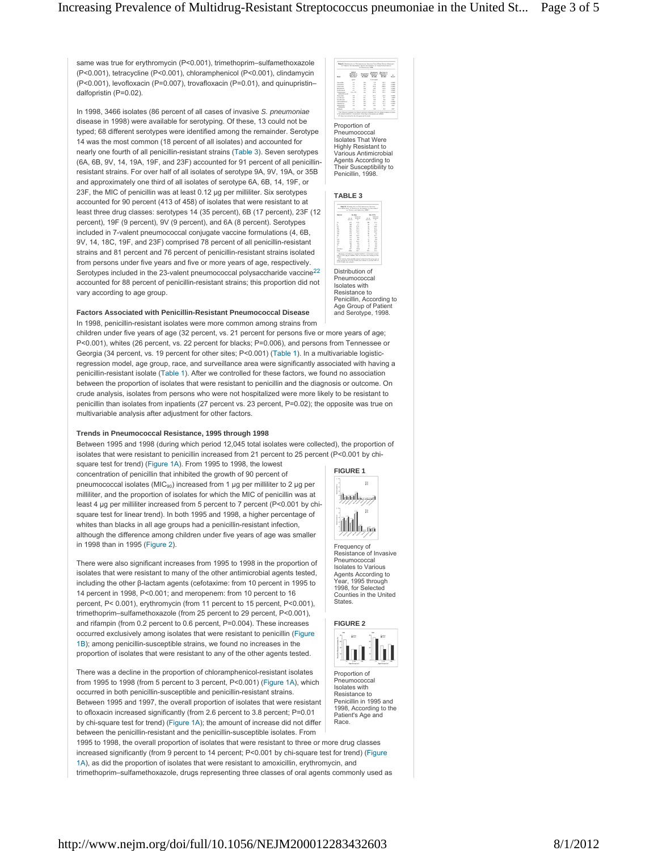same was true for erythromycin (P<0.001), trimethoprim–sulfamethoxazole (P<0.001), tetracycline (P<0.001), chloramphenicol (P<0.001), clindamycin (P<0.001), levofloxacin (P=0.007), trovafloxacin (P=0.01), and quinupristin– dalfopristin (P=0.02).

In 1998, 3466 isolates (86 percent of all cases of invasive *S. pneumoniae* disease in 1998) were available for serotyping. Of these, 13 could not be typed; 68 different serotypes were identified among the remainder. Serotype 14 was the most common (18 percent of all isolates) and accounted for nearly one fourth of all penicillin-resistant strains (Table 3). Seven serotypes (6A, 6B, 9V, 14, 19A, 19F, and 23F) accounted for 91 percent of all penicillinresistant strains. For over half of all isolates of serotype 9A, 9V, 19A, or 35B and approximately one third of all isolates of serotype 6A, 6B, 14, 19F, or 23F, the MIC of penicillin was at least 0.12 μg per milliliter. Six serotypes accounted for 90 percent (413 of 458) of isolates that were resistant to at least three drug classes: serotypes 14 (35 percent), 6B (17 percent), 23F (12 percent), 19F (9 percent), 9V (9 percent), and 6A (8 percent). Serotypes included in 7-valent pneumococcal conjugate vaccine formulations (4, 6B, 9V, 14, 18C, 19F, and 23F) comprised 78 percent of all penicillin-resistant strains and 81 percent and 76 percent of penicillin-resistant strains isolated from persons under five years and five or more years of age, respectively. Serotypes included in the 23-valent pneumococcal polysaccharide vaccine<sup>22</sup> accounted for 88 percent of penicillin-resistant strains; this proportion did not vary according to age group.

# **Factors Associated with Penicillin-Resistant Pneumococcal Disease**

In 1998, penicillin-resistant isolates were more common among strains from children under five years of age (32 percent, vs. 21 percent for persons five or more years of age; P<0.001), whites (26 percent, vs. 22 percent for blacks; P=0.006), and persons from Tennessee or Georgia (34 percent, vs. 19 percent for other sites; P<0.001) (Table 1). In a multivariable logisticregression model, age group, race, and surveillance area were significantly associated with having a penicillin-resistant isolate (Table 1). After we controlled for these factors, we found no association between the proportion of isolates that were resistant to penicillin and the diagnosis or outcome. On crude analysis, isolates from persons who were not hospitalized were more likely to be resistant to penicillin than isolates from inpatients (27 percent vs. 23 percent, P=0.02); the opposite was true on multivariable analysis after adjustment for other factors.

### **Trends in Pneumococcal Resistance, 1995 through 1998**

Between 1995 and 1998 (during which period 12,045 total isolates were collected), the proportion of isolates that were resistant to penicillin increased from 21 percent to 25 percent (P<0.001 by chi-

square test for trend) (Figure 1A). From 1995 to 1998, the lowest concentration of penicillin that inhibited the growth of 90 percent of pneumococcal isolates ( $MIC<sub>90</sub>$ ) increased from 1 µg per milliliter to 2 µg per milliliter, and the proportion of isolates for which the MIC of penicillin was at least 4 μg per milliliter increased from 5 percent to 7 percent (P<0.001 by chisquare test for linear trend). In both 1995 and 1998, a higher percentage of whites than blacks in all age groups had a penicillin-resistant infection, although the difference among children under five years of age was smaller in 1998 than in 1995 (Figure 2).

There were also significant increases from 1995 to 1998 in the proportion of isolates that were resistant to many of the other antimicrobial agents tested, including the other β-lactam agents (cefotaxime: from 10 percent in 1995 to 14 percent in 1998, P<0.001; and meropenem: from 10 percent to 16 percent, P< 0.001), erythromycin (from 11 percent to 15 percent, P<0.001), trimethoprim–sulfamethoxazole (from 25 percent to 29 percent, P<0.001), and rifampin (from 0.2 percent to 0.6 percent, P=0.004). These increases occurred exclusively among isolates that were resistant to penicillin (Figure 1B); among penicillin-susceptible strains, we found no increases in the proportion of isolates that were resistant to any of the other agents tested.

There was a decline in the proportion of chloramphenicol-resistant isolates from 1995 to 1998 (from 5 percent to 3 percent, P<0.001) (Figure 1A), which occurred in both penicillin-susceptible and penicillin-resistant strains. Between 1995 and 1997, the overall proportion of isolates that were resistant to ofloxacin increased significantly (from 2.6 percent to 3.8 percent; P=0.01 by chi-square test for trend) (Figure 1A); the amount of increase did not differ between the penicillin-resistant and the penicillin-susceptible isolates. From

1995 to 1998, the overall proportion of isolates that were resistant to three or more drug classes increased significantly (from 9 percent to 14 percent; P<0.001 by chi-square test for trend) (Figure 1A), as did the proportion of isolates that were resistant to amoxicillin, erythromycin, and trimethoprim–sulfamethoxazole, drugs representing three classes of oral agents commonly used as

| -                                      | $-$<br><b>Barnette of</b><br><b>Bargain</b><br>-- | <b>Burnet Avenue</b><br>1202 |             | Control Montana<br>ы | <b>COLLEGE</b>  |
|----------------------------------------|---------------------------------------------------|------------------------------|-------------|----------------------|-----------------|
|                                        | and on                                            |                              | is allowed. |                      |                 |
| <b>Service</b>                         | t                                                 | ALC: U                       | 14          | $-40.5$              | <b>CARD IN</b>  |
| <b>CARD CARDS</b>                      |                                                   | ÷                            | $\sim$      | $-1$                 | $-0.001$        |
| -                                      | ÷                                                 | ÷                            | Ë           | <b>HEA</b>           | $-2.441$        |
| <b>SERVICE</b>                         | ÷.                                                | $\sim$                       |             | $\rightarrow$        | <b>CALLED</b>   |
| <b>College Ave</b>                     |                                                   | ÷                            |             | $\cdots$             | <b>CAMER</b>    |
| <b>Service control</b><br>advertising. | <b>CALL AND</b>                                   | $\sim$                       |             | $-10.4$              | <b>CAMER</b>    |
| <b>Services</b>                        |                                                   | u                            | $\sim$      | $\cdots$             | <b>CALLED</b>   |
| <b>Locations</b>                       | 111111                                            | š                            | $\sim$      | $\overline{1}$       | 140             |
| <b>Scratters</b>                       |                                                   |                              | u           | ÷                    | n.c.            |
| <b>TRANSPORT</b>                       |                                                   |                              | ÷           | w                    | $-0.001$        |
| <b>Sales Card</b>                      |                                                   | ÷                            | ÷           | $\cdots$             | $-2.80$         |
| <b>CONTRACTOR</b><br><b>STATISTICS</b> | $\sim$                                            | $\sim$                       | <b>STEP</b> | $\overline{1}$       | <b>STATE</b>    |
| <b>Silvers</b>                         | $\sim$                                            | $\sim$                       | 11          | $\mathbb{R}$         | 10 <sup>2</sup> |

Proportion of Pneumococcal Isolates That Were Highly Resistant to Various Antimicrobial Agents According to Their Susceptibility to Penicillin, 1998.

# **TABLE 3**



Pneumococca Isolates with Resistance to Penicillin, According to Age Group of Patient and Serotype, 1998.



Frequency of Resistance of Invasive Pneumococcal Isolates to Various Agents According to Year, 1995 through 1998, for Selected Counties in the United States.



Proportion of Pneumococcal Isolates with Resistance to Penicillin in 1995 and 1998, According to the Patient's Age and Race.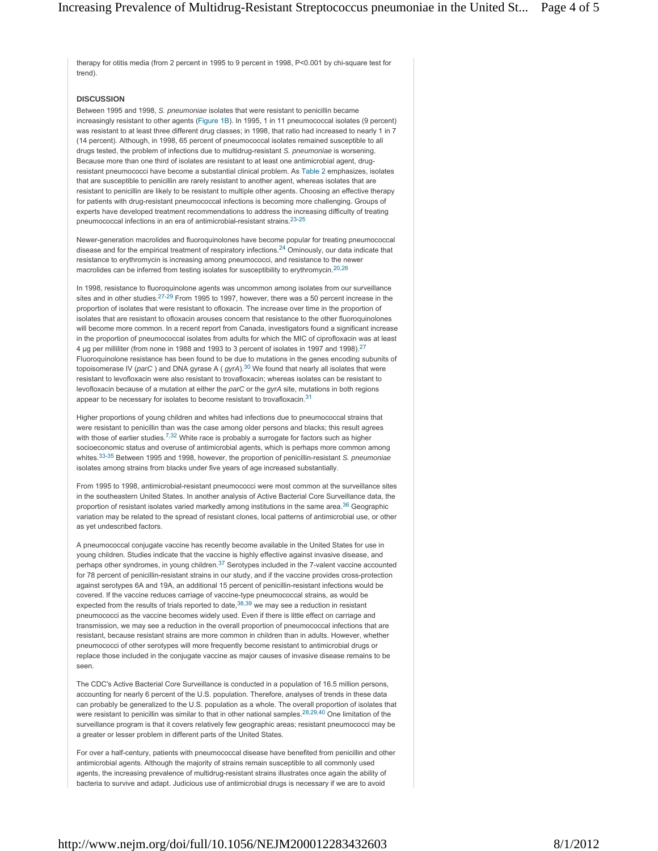therapy for otitis media (from 2 percent in 1995 to 9 percent in 1998, P<0.001 by chi-square test for trend).

### **DISCUSSION**

Between 1995 and 1998, *S. pneumoniae* isolates that were resistant to penicillin became increasingly resistant to other agents (Figure 1B). In 1995, 1 in 11 pneumococcal isolates (9 percent) was resistant to at least three different drug classes; in 1998, that ratio had increased to nearly 1 in 7 (14 percent). Although, in 1998, 65 percent of pneumococcal isolates remained susceptible to all drugs tested, the problem of infections due to multidrug-resistant *S. pneumoniae* is worsening. Because more than one third of isolates are resistant to at least one antimicrobial agent, drugresistant pneumococci have become a substantial clinical problem. As Table 2 emphasizes, isolates that are susceptible to penicillin are rarely resistant to another agent, whereas isolates that are resistant to penicillin are likely to be resistant to multiple other agents. Choosing an effective therapy for patients with drug-resistant pneumococcal infections is becoming more challenging. Groups of experts have developed treatment recommendations to address the increasing difficulty of treating pneumococcal infections in an era of antimicrobial-resistant strains.<sup>23-25</sup>

Newer-generation macrolides and fluoroquinolones have become popular for treating pneumococcal disease and for the empirical treatment of respiratory infections. $24$  Ominously, our data indicate that resistance to erythromycin is increasing among pneumococci, and resistance to the newer macrolides can be inferred from testing isolates for susceptibility to erythromycin.<sup>20,26</sup>

In 1998, resistance to fluoroquinolone agents was uncommon among isolates from our surveillance sites and in other studies. $27-29$  From 1995 to 1997, however, there was a 50 percent increase in the proportion of isolates that were resistant to ofloxacin. The increase over time in the proportion of isolates that are resistant to ofloxacin arouses concern that resistance to the other fluoroquinolones will become more common. In a recent report from Canada, investigators found a significant increase in the proportion of pneumococcal isolates from adults for which the MIC of ciprofloxacin was at least 4 µg per milliliter (from none in 1988 and 1993 to 3 percent of isolates in 1997 and 1998).<sup>27</sup> Fluoroquinolone resistance has been found to be due to mutations in the genes encoding subunits of topoisomerase IV (*parC*) and DNA gyrase A (*gyrA*).<sup>30</sup> We found that nearly all isolates that were resistant to levofloxacin were also resistant to trovafloxacin; whereas isolates can be resistant to levofloxacin because of a mutation at either the *parC* or the *gyrA* site, mutations in both regions appear to be necessary for isolates to become resistant to trovafloxacin.<sup>31</sup>

Higher proportions of young children and whites had infections due to pneumococcal strains that were resistant to penicillin than was the case among older persons and blacks; this result agrees with those of earlier studies.<sup>7,32</sup> White race is probably a surrogate for factors such as higher socioeconomic status and overuse of antimicrobial agents, which is perhaps more common among whites.<sup>33-35</sup> Between 1995 and 1998, however, the proportion of penicillin-resistant *S. pneumoniae* isolates among strains from blacks under five years of age increased substantially.

From 1995 to 1998, antimicrobial-resistant pneumococci were most common at the surveillance sites in the southeastern United States. In another analysis of Active Bacterial Core Surveillance data, the proportion of resistant isolates varied markedly among institutions in the same area. $36$  Geographic variation may be related to the spread of resistant clones, local patterns of antimicrobial use, or other as yet undescribed factors.

A pneumococcal conjugate vaccine has recently become available in the United States for use in young children. Studies indicate that the vaccine is highly effective against invasive disease, and perhaps other syndromes, in young children.<sup>37</sup> Serotypes included in the 7-valent vaccine accounted for 78 percent of penicillin-resistant strains in our study, and if the vaccine provides cross-protection against serotypes 6A and 19A, an additional 15 percent of penicillin-resistant infections would be covered. If the vaccine reduces carriage of vaccine-type pneumococcal strains, as would be expected from the results of trials reported to date,<sup>38,39</sup> we may see a reduction in resistant pneumococci as the vaccine becomes widely used. Even if there is little effect on carriage and transmission, we may see a reduction in the overall proportion of pneumococcal infections that are resistant, because resistant strains are more common in children than in adults. However, whether pneumococci of other serotypes will more frequently become resistant to antimicrobial drugs or replace those included in the conjugate vaccine as major causes of invasive disease remains to be seen.

The CDC's Active Bacterial Core Surveillance is conducted in a population of 16.5 million persons, accounting for nearly 6 percent of the U.S. population. Therefore, analyses of trends in these data can probably be generalized to the U.S. population as a whole. The overall proportion of isolates that were resistant to penicillin was similar to that in other national samples.<sup>28,29,40</sup> One limitation of the surveillance program is that it covers relatively few geographic areas; resistant pneumococci may be a greater or lesser problem in different parts of the United States.

For over a half-century, patients with pneumococcal disease have benefited from penicillin and other antimicrobial agents. Although the majority of strains remain susceptible to all commonly used agents, the increasing prevalence of multidrug-resistant strains illustrates once again the ability of bacteria to survive and adapt. Judicious use of antimicrobial drugs is necessary if we are to avoid